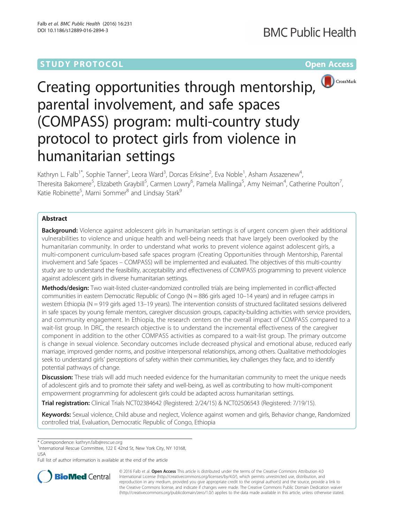# **STUDY PROTOCOL CONSUMING ACCESS**



Creating opportunities through mentorship, parental involvement, and safe spaces (COMPASS) program: multi-country study protocol to protect girls from violence in humanitarian settings

Kathryn L. Falb<sup>1\*</sup>, Sophie Tanner<sup>2</sup>, Leora Ward<sup>3</sup>, Dorcas Erksine<sup>2</sup>, Eva Noble<sup>1</sup>, Asham Assazenew<sup>4</sup> , Theresita Bakomere<sup>5</sup>, Elizabeth Graybill<sup>5</sup>, Carmen Lowry<sup>6</sup>, Pamela Mallinga<sup>5</sup>, Amy Neiman<sup>4</sup>, Catherine Poulton<sup>7</sup> , Katie Robinette<sup>5</sup>, Marni Sommer<sup>8</sup> and Lindsay Stark<sup>9</sup>

# Abstract

Background: Violence against adolescent girls in humanitarian settings is of urgent concern given their additional vulnerabilities to violence and unique health and well-being needs that have largely been overlooked by the humanitarian community. In order to understand what works to prevent violence against adolescent girls, a multi-component curriculum-based safe spaces program (Creating Opportunities through Mentorship, Parental involvement and Safe Spaces – COMPASS) will be implemented and evaluated. The objectives of this multi-country study are to understand the feasibility, acceptability and effectiveness of COMPASS programming to prevent violence against adolescent girls in diverse humanitarian settings.

Methods/design: Two wait-listed cluster-randomized controlled trials are being implemented in conflict-affected communities in eastern Democratic Republic of Congo (N = 886 girls aged 10–14 years) and in refugee camps in western Ethiopia (N = 919 girls aged 13–19 years). The intervention consists of structured facilitated sessions delivered in safe spaces by young female mentors, caregiver discussion groups, capacity-building activities with service providers, and community engagement. In Ethiopia, the research centers on the overall impact of COMPASS compared to a wait-list group. In DRC, the research objective is to understand the incremental effectiveness of the caregiver component in addition to the other COMPASS activities as compared to a wait-list group. The primary outcome is change in sexual violence. Secondary outcomes include decreased physical and emotional abuse, reduced early marriage, improved gender norms, and positive interpersonal relationships, among others. Qualitative methodologies seek to understand girls' perceptions of safety within their communities, key challenges they face, and to identify potential pathways of change.

Discussion: These trials will add much needed evidence for the humanitarian community to meet the unique needs of adolescent girls and to promote their safety and well-being, as well as contributing to how multi-component empowerment programming for adolescent girls could be adapted across humanitarian settings.

Trial registration: Clinical Trials [NCT02384642](https://www.clinicaltrials.gov/ct2/show/NCT02384642?term=NCT02384642&rank=1) (Registered: 2/24/15) & [NCT02506543](https://www.clinicaltrials.gov/ct2/show/NCT02506543?term=NCT02506543&rank=1) (Registered: 7/19/15).

Keywords: Sexual violence, Child abuse and neglect, Violence against women and girls, Behavior change, Randomized controlled trial, Evaluation, Democratic Republic of Congo, Ethiopia

\* Correspondence: [kathryn.falb@rescue.org](mailto:kathryn.falb@rescue.org) <sup>1</sup>

<sup>1</sup>International Rescue Committee, 122 E 42nd St, New York City, NY 10168, USA

Full list of author information is available at the end of the article



© 2016 Falb et al. Open Access This article is distributed under the terms of the Creative Commons Attribution 4.0 International License [\(http://creativecommons.org/licenses/by/4.0/](http://creativecommons.org/licenses/by/4.0/)), which permits unrestricted use, distribution, and reproduction in any medium, provided you give appropriate credit to the original author(s) and the source, provide a link to the Creative Commons license, and indicate if changes were made. The Creative Commons Public Domain Dedication waiver [\(http://creativecommons.org/publicdomain/zero/1.0/](http://creativecommons.org/publicdomain/zero/1.0/)) applies to the data made available in this article, unless otherwise stated.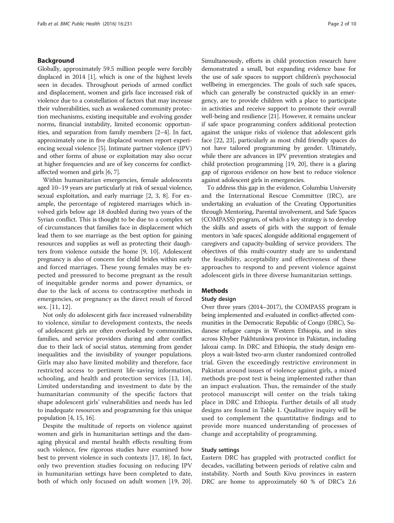### Background

Globally, approximately 59.5 million people were forcibly displaced in 2014 [\[1](#page-8-0)], which is one of the highest levels seen in decades. Throughout periods of armed conflict and displacement, women and girls face increased risk of violence due to a constellation of factors that may increase their vulnerabilities, such as weakened community protection mechanisms, existing inequitable and evolving gender norms, financial instability, limited economic opportunities, and separation from family members [\[2](#page-8-0)–[4\]](#page-8-0). In fact, approximately one in five displaced women report experiencing sexual violence [[5](#page-8-0)]. Intimate partner violence (IPV) and other forms of abuse or exploitation may also occur at higher frequencies and are of key concerns for conflictaffected women and girls [[6](#page-8-0), [7\]](#page-8-0).

Within humanitarian emergencies, female adolescents aged 10–19 years are particularly at risk of sexual violence, sexual exploitation, and early marriage [[2, 3, 8\]](#page-8-0). For example, the percentage of registered marriages which involved girls below age 18 doubled during two years of the Syrian conflict. This is thought to be due to a complex set of circumstances that families face in displacement which lead them to see marriage as the best option for gaining resources and supplies as well as protecting their daughters from violence outside the home [[9, 10\]](#page-8-0). Adolescent pregnancy is also of concern for child brides within early and forced marriages. These young females may be expected and pressured to become pregnant as the result of inequitable gender norms and power dynamics, or due to the lack of access to contraceptive methods in emergencies, or pregnancy as the direct result of forced sex. [\[11](#page-8-0), [12\]](#page-8-0).

Not only do adolescent girls face increased vulnerability to violence, similar to development contexts, the needs of adolescent girls are often overlooked by communities, families, and service providers during and after conflict due to their lack of social status, stemming from gender inequalities and the invisibility of younger populations. Girls may also have limited mobility and therefore, face restricted access to pertinent life-saving information, schooling, and health and protection services [[13, 14](#page-8-0)]. Limited understanding and investment to date by the humanitarian community of the specific factors that shape adolescent girls' vulnerabilities and needs has led to inadequate resources and programming for this unique population [[4](#page-8-0), [15, 16](#page-8-0)].

Despite the multitude of reports on violence against women and girls in humanitarian settings and the damaging physical and mental health effects resulting from such violence, few rigorous studies have examined how best to prevent violence in such contexts [\[17, 18\]](#page-8-0). In fact, only two prevention studies focusing on reducing IPV in humanitarian settings have been completed to date, both of which only focused on adult women [[19, 20](#page-8-0)]. Simultaneously, efforts in child protection research have demonstrated a small, but expanding evidence base for the use of safe spaces to support children's psychosocial wellbeing in emergencies. The goals of such safe spaces, which can generally be constructed quickly in an emergency, are to provide children with a place to participate in activities and receive support to promote their overall well-being and resilience [\[21\]](#page-8-0). However, it remains unclear if safe space programming confers additional protection against the unique risks of violence that adolescent girls face [[22](#page-8-0), [23](#page-8-0)], particularly as most child friendly spaces do not have tailored programming by gender. Ultimately, while there are advances in IPV prevention strategies and child protection programming [[19, 20\]](#page-8-0), there is a glaring gap of rigorous evidence on how best to reduce violence against adolescent girls in emergencies.

To address this gap in the evidence, Columbia University and the International Rescue Committee (IRC), are undertaking an evaluation of the Creating Opportunities through Mentoring, Parental involvement, and Safe Spaces (COMPASS) program, of which a key strategy is to develop the skills and assets of girls with the support of female mentors in 'safe spaces', alongside additional engagement of caregivers and capacity-building of service providers. The objectives of this multi-country study are to understand the feasibility, acceptability and effectiveness of these approaches to respond to and prevent violence against adolescent girls in three diverse humanitarian settings.

#### Methods

#### Study design

Over three years (2014–2017), the COMPASS program is being implemented and evaluated in conflict-affected communities in the Democratic Republic of Congo (DRC), Sudanese refugee camps in Western Ethiopia, and in sites across Khyber Pakhtunkwa province in Pakistan, including Jalozai camp. In DRC and Ethiopia, the study design employs a wait-listed two-arm cluster randomized controlled trial. Given the exceedingly restrictive environment in Pakistan around issues of violence against girls, a mixed methods pre-post test is being implemented rather than an impact evaluation. Thus, the remainder of the study protocol manuscript will center on the trials taking place in DRC and Ethiopia. Further details of all study designs are found in Table [1.](#page-2-0) Qualitative inquiry will be used to complement the quantitative findings and to provide more nuanced understanding of processes of change and acceptability of programming.

#### Study settings

Eastern DRC has grappled with protracted conflict for decades, vacillating between periods of relative calm and instability. North and South Kivu provinces in eastern DRC are home to approximately 60 % of DRC's 2.6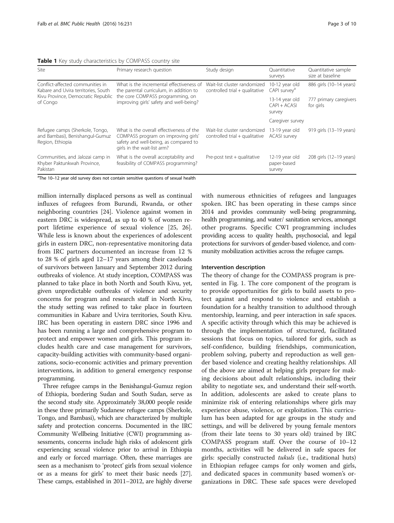<span id="page-2-0"></span>

| <b>Table 1</b> Key study characteristics by COMPASS country site |
|------------------------------------------------------------------|
|------------------------------------------------------------------|

| Site                                                                                                                      | Primary research question                                                                                                                                          | Study design                                                                  | Quantitative<br>surveys                    | Quantitative sample<br>size at baseline |
|---------------------------------------------------------------------------------------------------------------------------|--------------------------------------------------------------------------------------------------------------------------------------------------------------------|-------------------------------------------------------------------------------|--------------------------------------------|-----------------------------------------|
| Conflict-affected communities in<br>Kabare and Uvira territories, South<br>Kivu Province, Democratic Republic<br>of Congo | What is the incremental effectiveness of<br>the parental curriculum, in addition to<br>the core COMPASS programming, on<br>improving girls' safety and well-being? | Wait-list cluster randomized<br>controlled trial + qualitative                | 10-12 year old<br>CAPI survey <sup>a</sup> | 886 girls (10-14 years)                 |
|                                                                                                                           |                                                                                                                                                                    |                                                                               | 13-14 year old<br>$CAPI + ACASI$<br>survey | 777 primary caregivers<br>for girls     |
|                                                                                                                           |                                                                                                                                                                    |                                                                               | Caregiver survey                           |                                         |
| Refugee camps (Sherkole, Tongo,<br>and Bambasi), Benishangul-Gumuz<br>Region, Ethiopia                                    | What is the overall effectiveness of the<br>COMPASS program on improving girls'<br>safety and well-being, as compared to<br>girls in the wait-list arm?            | Wait-list cluster randomized<br>controlled trial $+$ qualitative ACASI survey | 13-19 year old                             | 919 girls (13-19 years)                 |
| Communities, and Jalozai camp in<br>Khyber Paktunkwah Province,<br>Pakistan                                               | What is the overall acceptability and<br>feasibility of COMPASS programming?                                                                                       | Pre-post test + qualitative                                                   | 12-19 year old<br>paper-based<br>survey    | 208 girls (12-19 years)                 |

<sup>a</sup>The 10–12 year old survey does not contain sensitive questions of sexual health

million internally displaced persons as well as continual influxes of refugees from Burundi, Rwanda, or other neighboring countries [[24](#page-8-0)]. Violence against women in eastern DRC is widespread, as up to 40 % of women report lifetime experience of sexual violence [[25, 26](#page-8-0)]. While less is known about the experiences of adolescent girls in eastern DRC, non-representative monitoring data from IRC partners documented an increase from 12 % to 28 % of girls aged 12–17 years among their caseloads of survivors between January and September 2012 during outbreaks of violence. At study inception, COMPASS was planned to take place in both North and South Kivu, yet, given unpredictable outbreaks of violence and security concerns for program and research staff in North Kivu, the study setting was refined to take place in fourteen communities in Kabare and Uvira territories, South Kivu. IRC has been operating in eastern DRC since 1996 and has been running a large and comprehensive program to protect and empower women and girls. This program includes health care and case management for survivors, capacity-building activities with community-based organizations, socio-economic activities and primary prevention interventions, in addition to general emergency response programming.

Three refugee camps in the Benishangul-Gumuz region of Ethiopia, bordering Sudan and South Sudan, serve as the second study site. Approximately 38,000 people reside in these three primarily Sudanese refugee camps (Sherkole, Tongo, and Bambasi), which are characterized by multiple safety and protection concerns. Documented in the IRC Community Wellbeing Initiative (CWI) programming assessments, concerns include high risks of adolescent girls experiencing sexual violence prior to arrival in Ethiopia and early or forced marriage. Often, these marriages are seen as a mechanism to 'protect' girls from sexual violence or as a means for girls' to meet their basic needs [[27](#page-8-0)]. These camps, established in 2011–2012, are highly diverse with numerous ethnicities of refugees and languages spoken. IRC has been operating in these camps since 2014 and provides community well-being programming, health programming, and water/ sanitation services, amongst other programs. Specific CWI programming includes providing access to quality health, psychosocial, and legal protections for survivors of gender-based violence, and community mobilization activities across the refugee camps.

#### Intervention description

The theory of change for the COMPASS program is presented in Fig. [1](#page-3-0). The core component of the program is to provide opportunities for girls to build assets to protect against and respond to violence and establish a foundation for a healthy transition to adulthood through mentorship, learning, and peer interaction in safe spaces. A specific activity through which this may be achieved is through the implementation of structured, facilitated sessions that focus on topics, tailored for girls, such as self-confidence, building friendships, communication, problem solving, puberty and reproduction as well gender based violence and creating healthy relationships. All of the above are aimed at helping girls prepare for making decisions about adult relationships, including their ability to negotiate sex, and understand their self-worth. In addition, adolescents are asked to create plans to minimize risk of entering relationships where girls may experience abuse, violence, or exploitation. This curriculum has been adapted for age groups in the study and settings, and will be delivered by young female mentors (from their late teens to 30 years old) trained by IRC COMPASS program staff. Over the course of 10–12 months, activities will be delivered in safe spaces for girls: specially constructed tukuls (i.e., traditional huts) in Ethiopian refugee camps for only women and girls, and dedicated spaces in community based women's organizations in DRC. These safe spaces were developed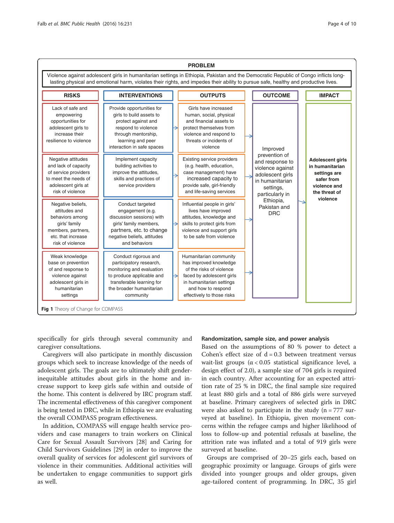<span id="page-3-0"></span>

specifically for girls through several community and caregiver consultations.

Caregivers will also participate in monthly discussion groups which seek to increase knowledge of the needs of adolescent girls. The goals are to ultimately shift genderinequitable attitudes about girls in the home and increase support to keep girls safe within and outside of the home. This content is delivered by IRC program staff. The incremental effectiveness of this caregiver component is being tested in DRC, while in Ethiopia we are evaluating the overall COMPASS program effectiveness.

In addition, COMPASS will engage health service providers and case managers to train workers on Clinical Care for Sexual Assault Survivors [\[28\]](#page-8-0) and Caring for Child Survivors Guidelines [[29\]](#page-8-0) in order to improve the overall quality of services for adolescent girl survivors of violence in their communities. Additional activities will be undertaken to engage communities to support girls as well.

#### Randomization, sample size, and power analysis

Based on the assumptions of 80 % power to detect a Cohen's effect size of  $d = 0.3$  between treatment versus wait-list groups  $(\alpha < 0.05$  statistical significance level, a design effect of 2.0), a sample size of 704 girls is required in each country. After accounting for an expected attrition rate of 25 % in DRC, the final sample size required at least 880 girls and a total of 886 girls were surveyed at baseline. Primary caregivers of selected girls in DRC were also asked to participate in the study  $(n = 777 \text{ sur-}$ veyed at baseline). In Ethiopia, given movement concerns within the refugee camps and higher likelihood of loss to follow-up and potential refusals at baseline, the attrition rate was inflated and a total of 919 girls were surveyed at baseline.

Groups are comprised of 20–25 girls each, based on geographic proximity or language. Groups of girls were divided into younger groups and older groups, given age-tailored content of programming. In DRC, 35 girl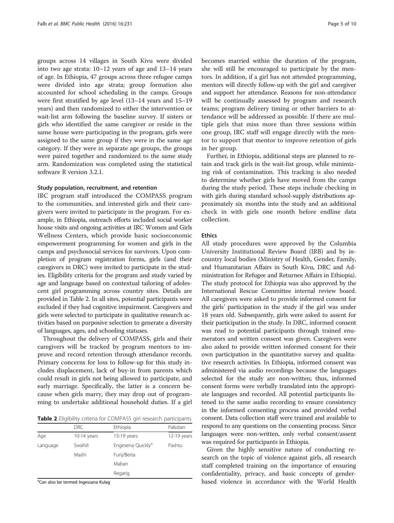groups across 14 villages in South Kivu were divided into two age strata: 10–12 years of age and 13–14 years of age. In Ethiopia, 47 groups across three refugee camps were divided into age strata; group formation also accounted for school scheduling in the camps. Groups were first stratified by age level (13–14 years and 15–19 years) and then randomized to either the intervention or wait-list arm following the baseline survey. If sisters or girls who identified the same caregiver or reside in the same house were participating in the program, girls were assigned to the same group if they were in the same age category. If they were in separate age groups, the groups were paired together and randomized to the same study arm. Randomization was completed using the statistical software R version 3.2.1.

#### Study population, recruitment, and retention

IRC program staff introduced the COMPASS program to the communities, and interested girls and their caregivers were invited to participate in the program. For example, in Ethiopia, outreach efforts included social worker house visits and ongoing activities at IRC Women and Girls Wellness Centers, which provide basic socioeconomic empowerment programming for women and girls in the camps and psychosocial services for survivors. Upon completion of program registration forms, girls (and their caregivers in DRC) were invited to participate in the studies. Eligibility criteria for the program and study varied by age and language based on contextual tailoring of adolescent girl programming across country sites. Details are provided in Table 2. In all sites, potential participants were excluded if they had cognitive impairment. Caregivers and girls were selected to participate in qualitative research activities based on purposive selection to generate a diversity of languages, ages, and schooling statuses.

Throughout the delivery of COMPASS, girls and their caregivers will be tracked by program mentors to improve and record retention through attendance records. Primary concerns for loss to follow-up for this study includes displacement, lack of buy-in from parents which could result in girls not being allowed to participate, and early marriage. Specifically, the latter is a concern because when girls marry, they may drop out of programming to undertake additional household duties. If a girl

Table 2 Eligibility criteria for COMPASS girl research participants

|          | <b>DRC</b>    | Ethiopia                      | Pakistan    |
|----------|---------------|-------------------------------|-------------|
| Age      | $10-14$ years | 13-19 years                   | 12-19 years |
| Language | Swahili       | Engesena Quickly <sup>a</sup> | Pashtu      |
|          | Mashi         | Funj/Berta                    |             |
|          |               | Maban                         |             |
|          |               | Regarig                       |             |
|          |               |                               |             |

<sup>a</sup>Can also be termed Ingessana Kulag

becomes married within the duration of the program, she will still be encouraged to participate by the mentors. In addition, if a girl has not attended programming, mentors will directly follow-up with the girl and caregiver and support her attendance. Reasons for non-attendance will be continually assessed by program and research teams; program delivery timing or other barriers to attendance will be addressed as possible. If there are multiple girls that miss more than three sessions within one group, IRC staff will engage directly with the mentor to support that mentor to improve retention of girls in her group.

Further, in Ethiopia, additional steps are planned to retain and track girls in the wait-list group, while minimizing risk of contamination. This tracking is also needed to determine whether girls have moved from the camps during the study period. These steps include checking in with girls during standard school-supply distributions approximately six months into the study and an additional check in with girls one month before endline data collection.

#### Ethics

All study procedures were approved by the Columbia University Institutional Review Board (IRB) and by incountry local bodies (Ministry of Health, Gender, Family, and Humanitarian Affairs in South Kivu, DRC and Administration for Refugee and Returnee Affairs in Ethiopia). The study protocol for Ethiopia was also approved by the International Rescue Committee internal review board. All caregivers were asked to provide informed consent for the girls' participation in the study if the girl was under 18 years old. Subsequently, girls were asked to assent for their participation in the study. In DRC, informed consent was read to potential participants through trained enumerators and written consent was given. Caregivers were also asked to provide written informed consent for their own participation in the quantitative survey and qualitative research activities. In Ethiopia, informed consent was administered via audio recordings because the languages selected for the study are non-written; thus, informed consent forms were verbally translated into the appropriate languages and recorded. All potential participants listened to the same audio recording to ensure consistency in the informed consenting process and provided verbal consent. Data collection staff were trained and available to respond to any questions on the consenting process. Since languages were non-written, only verbal consent/assent was required for participants in Ethiopia.

Given the highly sensitive nature of conducting research on the topic of violence against girls, all research staff completed training on the importance of ensuring confidentiality, privacy, and basic concepts of genderbased violence in accordance with the World Health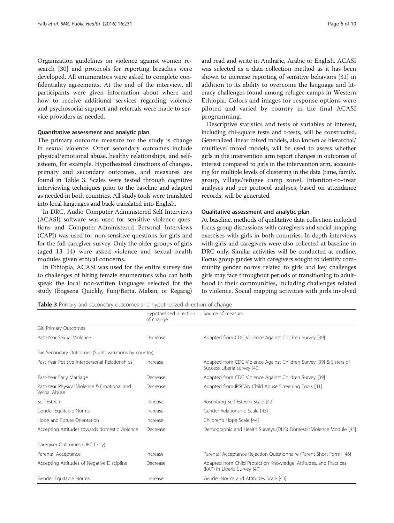Organization guidelines on violence against women research [[30\]](#page-8-0) and protocols for reporting breaches were developed. All enumerators were asked to complete confidentiality agreements. At the end of the interview, all participants were given information about where and how to receive additional services regarding violence and psychosocial support and referrals were made to service providers as needed.

#### Quantitative assessment and analytic plan

The primary outcome measure for the study is change in sexual violence. Other secondary outcomes include physical/emotional abuse, healthy relationships, and selfesteem, for example. Hypothesized directions of changes, primary and secondary outcomes, and measures are found in Table 3. Scales were tested through cognitive interviewing techniques prior to the baseline and adapted as needed in both countries. All study tools were translated into local languages and back-translated into English.

In DRC, Audio Computer Administered Self Interviews (ACASI) software was used for sensitive violence questions and Computer-Administered Personal Interviews (CAPI) was used for non-sensitive questions for girls and for the full caregiver survey. Only the older groups of girls (aged 13–14) were asked violence and sexual health modules given ethical concerns.

In Ethiopia, ACASI was used for the entire survey due to challenges of hiring female enumerators who can both speak the local non-written languages selected for the study (Engsena Quickly, Funj/Berta, Maban, or Regarig) and read and write in Amharic, Arabic or English. ACASI was selected as a data collection method as it has been shown to increase reporting of sensitive behaviors [[31](#page-8-0)] in addition to its ability to overcome the language and literacy challenges found among refugee camps in Western Ethiopia. Colors and images for response options were piloted and varied by country in the final ACASI programming.

Descriptive statistics and tests of variables of interest, including chi-square tests and t-tests, will be constructed. Generalized linear mixed models, also known as hierarchal/ multilevel mixed models, will be used to assess whether girls in the intervention arm report changes in outcomes of interest compared to girls in the intervention arm, accounting for multiple levels of clustering in the data (time, family, group, village/refugee camp zone). Intention-to-treat analyses and per protocol analyses, based on attendance records, will be generated.

#### Qualitative assessment and analytic plan

At baseline, methods of qualitative data collection included focus group discussions with caregivers and social mapping exercises with girls in both countries. In-depth interviews with girls and caregivers were also collected at baseline in DRC only. Similar activities will be conducted at endline. Focus group guides with caregivers sought to identify community gender norms related to girls and key challenges girls may face throughout periods of transitioning to adulthood in their communities, including challenges related to violence. Social mapping activities with girls involved

Table 3 Primary and secondary outcomes and hypothesized direction of change

|                                                             | Hypothesized direction<br>of change | Source of measure                                                                                  |
|-------------------------------------------------------------|-------------------------------------|----------------------------------------------------------------------------------------------------|
| Girl Primary Outcomes                                       |                                     |                                                                                                    |
| Past-Year Sexual Violence                                   | Decrease                            | Adapted from CDC Violence Against Children Survey [39]                                             |
| Girl Secondary Outcomes (Slight variations by country)      |                                     |                                                                                                    |
| Past-Year Positive Interpersonal Relationships              | Increase                            | Adapted from CDC Violence Against Children Survey [39] & Sisters of<br>Success Liberia survey [40] |
| Past-Year Early Marriage                                    | Decrease                            | Adapted from CDC Violence Against Children Survey [39]                                             |
| Past-Year Physical Violence & Emotional and<br>Verbal Abuse | Decrease                            | Adapted from IPSCAN Child Abuse Screening Tools [41]                                               |
| Self-Esteem                                                 | Increase                            | Rosenberg Self-Esteem Scale [42]                                                                   |
| Gender Equitable Norms                                      | Increase                            | Gender Relationship Scale [43]                                                                     |
| Hope and Future Orientation                                 | Increase                            | Children's Hope Scale [44]                                                                         |
| Accepting Attitudes towards domestic violence               | Decrease                            | Demographic and Health Surveys (DHS) Domestic Violence Module [45]                                 |
| Caregiver Outcomes (DRC Only)                               |                                     |                                                                                                    |
| Parental Acceptance                                         | Increase                            | Parental Acceptance-Rejection Questionnaire (Parent Short Form) [46]                               |
| Accepting Attitudes of Negative Discipline                  | Decrease                            | Adapted from Child Protection Knowledge, Attitudes, and Practices<br>(KAP) in Liberia Survey [47]  |
| Gender Equitable Norms                                      | Increase                            | Gender Norms and Attitudes Scale [43]                                                              |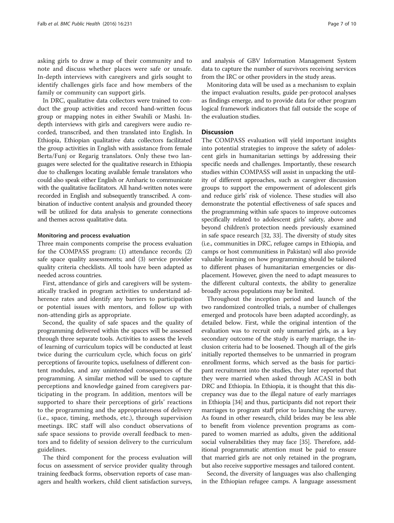asking girls to draw a map of their community and to note and discuss whether places were safe or unsafe. In-depth interviews with caregivers and girls sought to identify challenges girls face and how members of the family or community can support girls.

In DRC, qualitative data collectors were trained to conduct the group activities and record hand-written focus group or mapping notes in either Swahili or Mashi. Indepth interviews with girls and caregivers were audio recorded, transcribed, and then translated into English. In Ethiopia, Ethiopian qualitative data collectors facilitated the group activities in English with assistance from female Berta/Funj or Regarig translators. Only these two languages were selected for the qualitative research in Ethiopia due to challenges locating available female translators who could also speak either English or Amharic to communicate with the qualitative facilitators. All hand-written notes were recorded in English and subsequently transcribed. A combination of inductive content analysis and grounded theory will be utilized for data analysis to generate connections and themes across qualitative data.

#### Monitoring and process evaluation

Three main components comprise the process evaluation for the COMPASS program: (1) attendance records; (2) safe space quality assessments; and (3) service provider quality criteria checklists. All tools have been adapted as needed across countries.

First, attendance of girls and caregivers will be systematically tracked in program activities to understand adherence rates and identify any barriers to participation or potential issues with mentors, and follow up with non-attending girls as appropriate.

Second, the quality of safe spaces and the quality of programming delivered within the spaces will be assessed through three separate tools. Activities to assess the levels of learning of curriculum topics will be conducted at least twice during the curriculum cycle, which focus on girls' perceptions of favourite topics, usefulness of different content modules, and any unintended consequences of the programming. A similar method will be used to capture perceptions and knowledge gained from caregivers participating in the program. In addition, mentors will be supported to share their perceptions of girls' reactions to the programming and the appropriateness of delivery (i.e., space, timing, methods, etc.), through supervision meetings. IRC staff will also conduct observations of safe space sessions to provide overall feedback to mentors and to fidelity of session delivery to the curriculum guidelines.

The third component for the process evaluation will focus on assessment of service provider quality through training feedback forms, observation reports of case managers and health workers, child client satisfaction surveys, and analysis of GBV Information Management System data to capture the number of survivors receiving services from the IRC or other providers in the study areas.

Monitoring data will be used as a mechanism to explain the impact evaluation results, guide per-protocol analyses as findings emerge, and to provide data for other program logical framework indicators that fall outside the scope of the evaluation studies.

### **Discussion**

The COMPASS evaluation will yield important insights into potential strategies to improve the safety of adolescent girls in humanitarian settings by addressing their specific needs and challenges. Importantly, these research studies within COMPASS will assist in unpacking the utility of different approaches, such as caregiver discussion groups to support the empowerment of adolescent girls and reduce girls' risk of violence. These studies will also demonstrate the potential effectiveness of safe spaces and the programming within safe spaces to improve outcomes specifically related to adolescent girls' safety, above and beyond children's protection needs previously examined in safe space research [[32, 33](#page-8-0)]. The diversity of study sites (i.e., communities in DRC, refugee camps in Ethiopia, and camps or host communitiess in Pakistan) will also provide valuable learning on how programming should be tailored to different phases of humanitarian emergencies or displacement. However, given the need to adapt measures to the different cultural contexts, the ability to generalize broadly across populations may be limited.

Throughout the inception period and launch of the two randomized controlled trials, a number of challenges emerged and protocols have been adapted accordingly, as detailed below. First, while the original intention of the evaluation was to recruit only unmarried girls, as a key secondary outcome of the study is early marriage, the inclusion criteria had to be loosened. Though all of the girls initially reported themselves to be unmarried in program enrollment forms, which served as the basis for participant recruitment into the studies, they later reported that they were married when asked through ACASI in both DRC and Ethiopia. In Ethiopia, it is thought that this discrepancy was due to the illegal nature of early marriages in Ethiopia [[34](#page-8-0)] and thus, participants did not report their marriages to program staff prior to launching the survey. As found in other research, child brides may be less able to benefit from violence prevention programs as compared to women married as adults, given the additional social vulnerabilities they may face [[35](#page-8-0)]. Therefore, additional programmatic attention must be paid to ensure that married girls are not only retained in the program, but also receive supportive messages and tailored content.

Second, the diversity of languages was also challenging in the Ethiopian refugee camps. A language assessment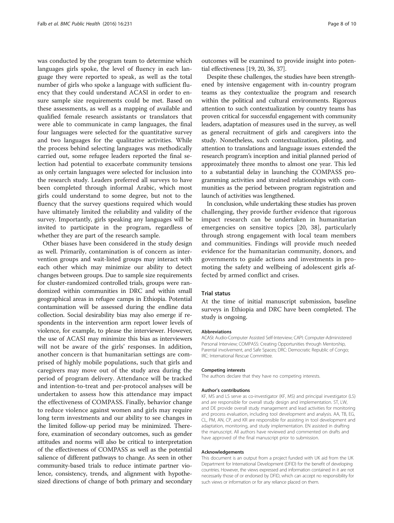was conducted by the program team to determine which languages girls spoke, the level of fluency in each language they were reported to speak, as well as the total number of girls who spoke a language with sufficient fluency that they could understand ACASI in order to ensure sample size requirements could be met. Based on these assessments, as well as a mapping of available and qualified female research assistants or translators that were able to communicate in camp languages, the final four languages were selected for the quantitative survey and two languages for the qualitative activities. While the process behind selecting languages was methodically carried out, some refugee leaders reported the final selection had potential to exacerbate community tensions as only certain languages were selected for inclusion into the research study. Leaders preferred all surveys to have been completed through informal Arabic, which most girls could understand to some degree, but not to the fluency that the survey questions required which would have ultimately limited the reliability and validity of the survey. Importantly, girls speaking any languages will be invited to participate in the program, regardless of whether they are part of the research sample.

Other biases have been considered in the study design as well. Primarily, contamination is of concern as intervention groups and wait-listed groups may interact with each other which may minimize our ability to detect changes between groups. Due to sample size requirements for cluster-randomized controlled trials, groups were randomized within communities in DRC and within small geographical areas in refugee camps in Ethiopia. Potential contamination will be assessed during the endline data collection. Social desirability bias may also emerge if respondents in the intervention arm report lower levels of violence, for example, to please the interviewer. However, the use of ACASI may minimize this bias as interviewers will not be aware of the girls' responses. In addition, another concern is that humanitarian settings are comprised of highly mobile populations, such that girls and caregivers may move out of the study area during the period of program delivery. Attendance will be tracked and intention-to-treat and per-protocol analyses will be undertaken to assess how this attendance may impact the effectiveness of COMPASS. Finally, behavior change to reduce violence against women and girls may require long term investments and our ability to see changes in the limited follow-up period may be minimized. Therefore, examination of secondary outcomes, such as gender attitudes and norms will also be critical to interpretation of the effectiveness of COMPASS as well as the potential salience of different pathways to change. As seen in other community-based trials to reduce intimate partner violence, consistency, trends, and alignment with hypothesized directions of change of both primary and secondary

outcomes will be examined to provide insight into potential effectiveness [\[19, 20](#page-8-0), [36, 37\]](#page-8-0).

Despite these challenges, the studies have been strengthened by intensive engagement with in-country program teams as they contextualize the program and research within the political and cultural environments. Rigorous attention to such contextualization by country teams has proven critical for successful engagement with community leaders, adaptation of measures used in the survey, as well as general recruitment of girls and caregivers into the study. Nonetheless, such contextualization, piloting, and attention to translations and language issues extended the research program's inception and initial planned period of approximately three months to almost one year. This led to a substantial delay in launching the COMPASS programming activities and strained relationships with communities as the period between program registration and launch of activities was lengthened.

In conclusion, while undertaking these studies has proven challenging, they provide further evidence that rigorous impact research can be undertaken in humanitarian emergencies on sensitive topics [\[20](#page-8-0), [38](#page-8-0)], particularly through strong engagement with local team members and communities. Findings will provide much needed evidence for the humanitarian community, donors, and governments to guide actions and investments in promoting the safety and wellbeing of adolescent girls affected by armed conflict and crises.

#### Trial status

At the time of initial manuscript submission, baseline surveys in Ethiopia and DRC have been completed. The study is ongoing.

#### Abbreviations

ACASI: Audio-Computer Assisted Self-Interview; CAPI: Computer-Administered Personal Interview; COMPASS: Creating Opportunities through Mentorship, Parental involvement, and Safe Spaces; DRC: Democratic Republic of Congo; IRC: International Rescue Committee.

#### Competing interests

The authors declare that they have no competing interests.

#### Author's contributions

KF, MS and LS serve as co-investigator (KF, MS) and principal investigator (LS) and are responsible for overall study design and implementation. ST, LW, and DE provide overall study management and lead activities for monitoring and process evaluation, including tool development and analysis. AA, TB, EG, CL, PM, AN, CP, and KR are responsible for assisting in tool development and adaptation, monitoring, and study implementation. EN assisted in drafting the manuscript. All authors have reviewed and commented on drafts and have approved of the final manuscript prior to submission.

#### Acknowledgements

This document is an output from a project funded with UK aid from the UK Department for International Development (DFID) for the benefit of developing countries. However, the views expressed and information contained in it are not necessarily those of or endorsed by DFID, which can accept no responsibility for such views or information or for any reliance placed on them.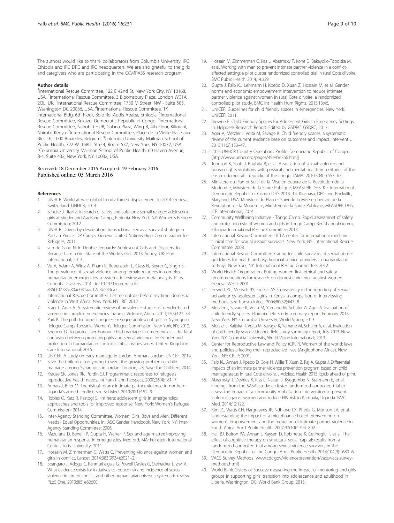<span id="page-8-0"></span>The authors would like to thank collaborators from Columbia University, IRC Ethiopia and IRC DRC and IRC headquarters. We are also grateful to the girls and caregivers who are participating in the COMPASS research program.

#### Author details

<sup>1</sup>International Rescue Committee, 122 E 42nd St, New York City, NY 10168, USA. <sup>2</sup>International Rescue Committee, 3 Bloomsbury Place, London WC1A 2QL, UK. <sup>3</sup>International Rescue Committee, 1730 M Street, NW - Suite 505, Washington DC 20036, USA. <sup>4</sup>International Rescue Committee, TK International Bldg. 6th Floor, Bole Rd, Addis Ababa, Ethiopia. <sup>5</sup>International Rescue Committee, Bukavu, Democratic Republic of Congo. <sup>6</sup>International Rescue Committee, Nairobi i-HUB, Galana Plaza, Wing B, 4th Floor, Kilimani, Nairobi, Kenya. <sup>7</sup>International Rescue Committee, Place de la Vieille Halle aux Blés 16, 1000 Bruxelles, Belgium. <sup>8</sup>Columbia University Mailman School of Public Health, 722 W. 168th Street, Room 537, New York, NY 10032, USA. <sup>9</sup>Columbia University Mailman School of Public Health, 60 Haven Avenue, B-4, Suite 432, New York, NY 10032, USA.

#### Received: 18 December 2015 Accepted: 19 February 2016 Published online: 05 March 2016

#### References

- 1. UNHCR. World at war: global trends: forced displacement in 2014. Geneva, Switzerland: UNHCR; 2014.
- Schulte J, Rizvi Z. In search of safety and solutions: somali refugee adolescent girls at Sheder and Aw Barre Camps, Ethiopia. New York, NY: Women's Refugee Commission; 2012.
- UNHCR. Driven by desperation: transactional sex as a survival strategy in Port au Prince IDP Camps. Geneva: United Nations High Commissioner for Refugees; 2011.
- van de Gaag N: In Double Jeopardy: Adolescent Girls and Disasters. In: Because I am a Girl: State of the World's Girls 2013. Surrey, UK: Plan International; 2013.
- 5. Vu A, Adam A, Wirtz A, Pham K, Rubenstein L, Glass N, Beyrer C, Singh S. The prevalence of sexual violence among female refugees in complex humanitarian emergencies: a systematic review and meta-analysis. PLos Currents Disasters 2014. doi:[10.1371/currents.dis.](http://dx.doi.org/10.1371/currents.dis.835f10778fd80ae031aac12d3b533ca7 ) [835f10778fd80ae031aac12d3b533ca7.](http://dx.doi.org/10.1371/currents.dis.835f10778fd80ae031aac12d3b533ca7 )
- 6. International Rescue Committee. Let me not die before my time: domestic violence in West Africa. New York, NY: IRC; 2012.
- 7. Stark L, Ager A. A systematic review of prevalence studies of gender-based violence in complex emergencies. Trauma, Violence, Abuse. 2011;12(3):127–34.
- 8. Paik K. The path to hope: congolese refugee adolescent girls in Nyarugusu Refugee Camp, Tanzania. Women's Refugee Commission: New York, NY; 2012.
- 9. Spencer D. To protect her honour: child marriage in emergencies the fatal confusion between protecting girls and sexual violence. In: Gender and protection in humanitarian contexts: critical issues series. United Kingdom: Care International; 2015.
- 10. UNICEF. A study on early marriage in Jordan. Amman, Jordan: UNICEF; 2014.
- 11. Save the Children. Too young to wed: the growing problem of child marriage among Syrian girls in Jordan. London, UK: Save the Children; 2014.
- 12. Krause SK, Jones RK, Purdin SJ. Programmatic responses to refugee's reproductive health needs. Int Fam Plann Perspect. 2000;26(4):181–7.
- 13. Annan J, Brier M. The risk of return: intimate partner violence in northern Uganda's armed conflict. Soc Sci Med. 2010;70(1):152–9.
- 14. Robles O, Katz R, Rastogi S. I'm here: adolescent girls in emergencies: approaches and tools for improved repsonse. New York: Women's Refugee Commission; 2014.
- 15. Inter-Agency Standing Committee. Women, Girls, Boys and Men: Different Needs - Equal Opportunities. In: IASC Gender Handbook. New York, NY: Inter-Agency Standing Committee; 2006.
- 16. Mazurana D, Benelli P, Gupta H, Walker P. Sex and age matter: improving humanitarian response in emergencies. Medford, MA: Feinstein International Center, Tufts University; 2011.
- 17. Hossain M, Zimmerman C, Watts C. Preventing violence against women and girls in conflict. Lancet. 2014;383(9934):2021–2.
- 18. Spangaro J, Adogu C, Ranmuthugala G, Powell Davies G, Steinacker L, Zwi A. What evidence exists for initiatives to reduce risk and incidence of sexual violence in armed conflict and other humanitarian crises? a systematic review. PLoS One. 2013;8(5):e62600.
- 19. Hossain M, Zimmerman C, Kiss L, Abramsky T, Kone D, Bakayoko-Topolska M, et al. Working with men to prevent intimate partner violence in a conflictaffected setting: a pilot cluster randomized controlled trial in rural Cote d'Ivoire. BMC Public Health. 2014;14:339.
- 20. Gupta J, Falb KL, Lehmann H, Kpebo D, Xuan Z, Hossain M, et al. Gender norms and economic empowerment intervention to reduce intimate partner violence against women in rural Cote d'Ivoire: a randomized controlled pilot study. BMC Int Health Hum Rights. 2013;13:46.
- 21. UNICEF. Guidelines for child friendly spaces in emergencies. New York: UNICEF; 2011.
- 22. Browne E. Child Friendly Spaces for Adolescent Girls in Emergency Settings. In: Helpdesk Research Report. Edited by GSDRC: GSDRC; 2013.
- 23. Ager A, Metzler J, Vojta M, Savage K. Child friendly spaces: a systematic review of the current evidence base on outcomes and impact. Intervent J. 2013;11(2):133–47.
- 24. 2015 UNHCR Country Operations Profile: Democratic Republic of Congo [<http://www.unhcr.org/pages/49e45c366.html>]
- 25. Johnson K, Scott J, Rughita B, et al. Association of sexual violence and human rights violations with physical and mental health in territories of the eastern democratic republic of the congo. JAMA. 2010;304(5):553–62.
- 26. Ministere du Plan et Suivi de la Mise en oeuvre de la Revolution de la Modernite, Ministere de la Sante Publique, MEASURE DHS, ICF International. Democratic Republic of Congo DHS 2013–14. Kinshasa, DRC and Rockville, Maryland, USA: Ministere du Plan et Suivi de la Mise en oeuvre de la Revolution de la Modernite, Ministere de la Sante Publique, MEASURE DHS, ICF International; 2014.
- 27. Community Wellbeing Initiative Tongo Camp. Rapid assessmnet of safety and protection risks of women and girls in Tongo Camp. Benishangul-Gumuz, Ethiopia: International Rescue Committee; 2013.
- 28. International Rescue Committee. UCLA center for international medicine: clinical care for sexual assault survivors. New York, NY: International Rescue Committee; 2008.
- 29. International Rescue Committee. Caring for child survivors of sexual abuse: guidelines for health and psychosocial service providers in humanitarian settings. New York, NY: International Rescue Committee; 2012.
- 30. World Health Organization. Putting women first: ethical and safety recommendations for research on domestic violence against women. Geneva: WHO; 2001.
- 31. Hewett PC, Mensch BS, Erulkar AS. Consistency in the reporting of sexual behaviour by adolescent girls in Kenya: a comparison of interviewing methods. Sex Transm Infect. 2004;80(S2):ii43–8.
- 32. Metzler J, Savage K, Vojta M, Yamano M, Schafer A, Ager A. Evaluation of child friendly spaces: Ethiopia field study summary report, February 2013. New York, NY: Columbia University, World Vision; 2013.
- 33. Metzler J, Kaijuka R, Vojta M, Savage K, Yamano M, Schafer A, et al. Evaluation of child friendly spaces: Uganda field study summary report, July 2013. New York, NY: Columbia University, World Vision International; 2013.
- 34. Center for Reproductive Law and Policy (CRLP). Women of the world: laws and policies affecting their reproductive lives (Anglophone Africa). New York, NY: CRLP; 2001.
- 35. Falb KL, Annan J, Kpebo D, Cole H, Willie T, Xuan Z, Raj A, Gupta J. Differential impacts of an intimate partner violence prevention program based on child marriage status in rural Cote d'Ivoire. J Adolesc Health 2015, Epub ahead of print.
- 36. Abramsky T, Devries K, Kiss L, Nakuti J, Kyegombe N, Starmann E, et al. Findings from the SASA! study: a cluster randomized controlled trial to assess the impact of a community mobilization intervention to prevent violence against women and reduce HIV risk in Kampala, Uganda. BMC Med. 2014;12:122.
- 37. Kim JC, Watts CH, Hargreaves JR, Ndhlovu LX, Phetla G, Morison LA, et al. Understanding the impact of a microfinance-based intervention on women's empowerment and the reduction of intimate partner violence in South Africa. Am J Public Health. 2007;97(10):1794–802.
- 38. Hall BJ, Bolton PA, Annan J, Kaysen D, Robinette K, Cetinoglu T, et al. The effect of cognitive therapy on structural social capital: results from a randomized controlled trial among sexual violence survivors in the Democratic Republic of the Congo. Am J Public Health. 2014;104(9):1680–6.
- 39. VACS Survey Methods [[www.cdc.gov/violenceprevention/vacs/vacs-survey](http://www.cdc.gov/violenceprevention/vacs/vacs-survey-methods.html)[methods.html](http://www.cdc.gov/violenceprevention/vacs/vacs-survey-methods.html)]
- 40. World Bank. Sisters of Success: measuring the impact of mentoring and girls groups in supporting girls' transition into adolescence and adulthood in Liberia. Washington, DC: World Bank Group; 2015.